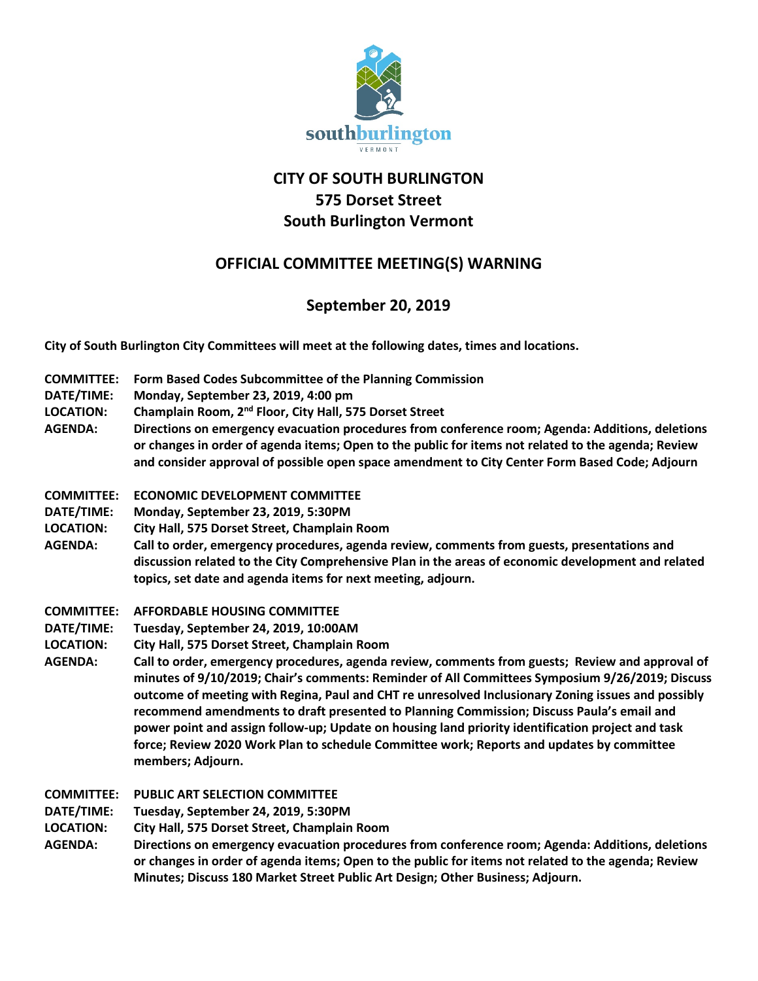

# **CITY OF SOUTH BURLINGTON 575 Dorset Street South Burlington Vermont**

## **OFFICIAL COMMITTEE MEETING(S) WARNING**

## **September 20, 2019**

**City of South Burlington City Committees will meet at the following dates, times and locations.** 

- **COMMITTEE: Form Based Codes Subcommittee of the Planning Commission**
- **DATE/TIME: Monday, September 23, 2019, 4:00 pm**
- **LOCATION: Champlain Room, 2nd Floor, City Hall, 575 Dorset Street**
- **AGENDA: Directions on emergency evacuation procedures from conference room; Agenda: Additions, deletions or changes in order of agenda items; Open to the public for items not related to the agenda; Review and consider approval of possible open space amendment to City Center Form Based Code; Adjourn**
- **COMMITTEE: ECONOMIC DEVELOPMENT COMMITTEE**
- **DATE/TIME: Monday, September 23, 2019, 5:30PM**
- **LOCATION: City Hall, 575 Dorset Street, Champlain Room**
- **AGENDA: Call to order, emergency procedures, agenda review, comments from guests, presentations and discussion related to the City Comprehensive Plan in the areas of economic development and related topics, set date and agenda items for next meeting, adjourn.**
- **COMMITTEE: AFFORDABLE HOUSING COMMITTEE**
- **DATE/TIME: Tuesday, September 24, 2019, 10:00AM**
- **LOCATION: City Hall, 575 Dorset Street, Champlain Room**
- **AGENDA: Call to order, emergency procedures, agenda review, comments from guests; Review and approval of minutes of 9/10/2019; Chair's comments: Reminder of All Committees Symposium 9/26/2019; Discuss outcome of meeting with Regina, Paul and CHT re unresolved Inclusionary Zoning issues and possibly recommend amendments to draft presented to Planning Commission; Discuss Paula's email and power point and assign follow-up; Update on housing land priority identification project and task force; Review 2020 Work Plan to schedule Committee work; Reports and updates by committee members; Adjourn.**
- **COMMITTEE: PUBLIC ART SELECTION COMMITTEE**
- **DATE/TIME: Tuesday, September 24, 2019, 5:30PM**
- **LOCATION: City Hall, 575 Dorset Street, Champlain Room**
- **AGENDA: Directions on emergency evacuation procedures from conference room; Agenda: Additions, deletions or changes in order of agenda items; Open to the public for items not related to the agenda; Review Minutes; Discuss 180 Market Street Public Art Design; Other Business; Adjourn.**